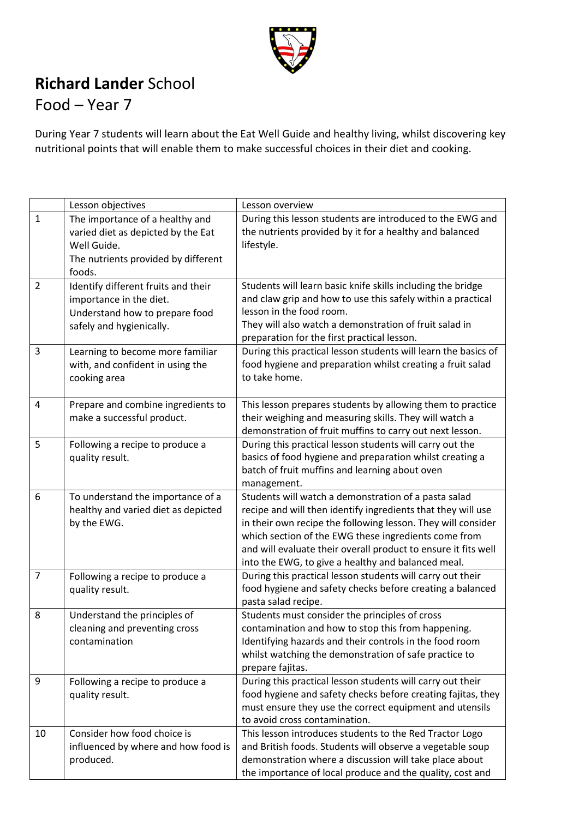

## **Richard Lander** School

## Food – Year 7

During Year 7 students will learn about the Eat Well Guide and healthy living, whilst discovering key nutritional points that will enable them to make successful choices in their diet and cooking.

|                | Lesson objectives                   | Lesson overview                                                                                               |
|----------------|-------------------------------------|---------------------------------------------------------------------------------------------------------------|
| $\mathbf{1}$   | The importance of a healthy and     | During this lesson students are introduced to the EWG and                                                     |
|                | varied diet as depicted by the Eat  | the nutrients provided by it for a healthy and balanced                                                       |
|                | Well Guide.                         | lifestyle.                                                                                                    |
|                | The nutrients provided by different |                                                                                                               |
|                | foods.                              |                                                                                                               |
| $\overline{2}$ | Identify different fruits and their | Students will learn basic knife skills including the bridge                                                   |
|                | importance in the diet.             | and claw grip and how to use this safely within a practical                                                   |
|                | Understand how to prepare food      | lesson in the food room.                                                                                      |
|                | safely and hygienically.            | They will also watch a demonstration of fruit salad in                                                        |
|                |                                     | preparation for the first practical lesson.                                                                   |
| 3              | Learning to become more familiar    | During this practical lesson students will learn the basics of                                                |
|                | with, and confident in using the    | food hygiene and preparation whilst creating a fruit salad                                                    |
|                | cooking area                        | to take home.                                                                                                 |
|                |                                     |                                                                                                               |
| $\overline{4}$ | Prepare and combine ingredients to  | This lesson prepares students by allowing them to practice                                                    |
|                | make a successful product.          | their weighing and measuring skills. They will watch a                                                        |
|                |                                     | demonstration of fruit muffins to carry out next lesson.                                                      |
| 5              | Following a recipe to produce a     | During this practical lesson students will carry out the                                                      |
|                | quality result.                     | basics of food hygiene and preparation whilst creating a                                                      |
|                |                                     | batch of fruit muffins and learning about oven                                                                |
|                |                                     | management.                                                                                                   |
| 6              | To understand the importance of a   | Students will watch a demonstration of a pasta salad                                                          |
|                | healthy and varied diet as depicted | recipe and will then identify ingredients that they will use                                                  |
|                | by the EWG.                         | in their own recipe the following lesson. They will consider                                                  |
|                |                                     | which section of the EWG these ingredients come from                                                          |
|                |                                     | and will evaluate their overall product to ensure it fits well                                                |
|                |                                     | into the EWG, to give a healthy and balanced meal.                                                            |
| $\overline{7}$ | Following a recipe to produce a     | During this practical lesson students will carry out their                                                    |
|                | quality result.                     | food hygiene and safety checks before creating a balanced<br>pasta salad recipe.                              |
| 8              | Understand the principles of        | Students must consider the principles of cross                                                                |
|                | cleaning and preventing cross       |                                                                                                               |
|                | contamination                       | contamination and how to stop this from happening.<br>Identifying hazards and their controls in the food room |
|                |                                     | whilst watching the demonstration of safe practice to                                                         |
|                |                                     | prepare fajitas.                                                                                              |
| 9              | Following a recipe to produce a     | During this practical lesson students will carry out their                                                    |
|                | quality result.                     | food hygiene and safety checks before creating fajitas, they                                                  |
|                |                                     | must ensure they use the correct equipment and utensils                                                       |
|                |                                     | to avoid cross contamination.                                                                                 |
| 10             | Consider how food choice is         | This lesson introduces students to the Red Tractor Logo                                                       |
|                | influenced by where and how food is | and British foods. Students will observe a vegetable soup                                                     |
|                | produced.                           | demonstration where a discussion will take place about                                                        |
|                |                                     | the importance of local produce and the quality, cost and                                                     |
|                |                                     |                                                                                                               |